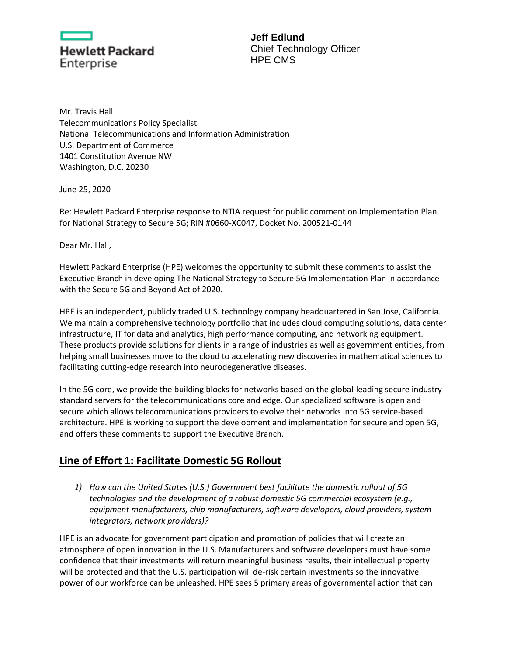

**Jeff Edlund** Chief Technology Officer HPE CMS

Mr. Travis Hall Telecommunications Policy Specialist National Telecommunications and Information Administration U.S. Department of Commerce 1401 Constitution Avenue NW Washington, D.C. 20230

June 25, 2020

Re: Hewlett Packard Enterprise response to NTIA request for public comment on Implementation Plan for National Strategy to Secure 5G; RIN #0660-XC047, Docket No. 200521-0144

Dear Mr. Hall,

Hewlett Packard Enterprise (HPE) welcomes the opportunity to submit these comments to assist the Executive Branch in developing The National Strategy to Secure 5G Implementation Plan in accordance with the Secure 5G and Beyond Act of 2020.

HPE is an independent, publicly traded U.S. technology company headquartered in San Jose, California. We maintain a comprehensive technology portfolio that includes cloud computing solutions, data center infrastructure, IT for data and analytics, high performance computing, and networking equipment. These products provide solutions for clients in a range of industries as well as government entities, from helping small businesses move to the cloud to accelerating new discoveries in mathematical sciences to facilitating cutting-edge research into neurodegenerative diseases.

In the 5G core, we provide the building blocks for networks based on the global-leading secure industry standard servers for the telecommunications core and edge. Our specialized software is open and secure which allows telecommunications providers to evolve their networks into 5G service-based architecture. HPE is working to support the development and implementation for secure and open 5G, and offers these comments to support the Executive Branch.

## **Line of Effort 1: Facilitate Domestic 5G Rollout**

*1) How can the United States (U.S.) Government best facilitate the domestic rollout of 5G technologies and the development of a robust domestic 5G commercial ecosystem (e.g., equipment manufacturers, chip manufacturers, software developers, cloud providers, system integrators, network providers)?* 

HPE is an advocate for government participation and promotion of policies that will create an atmosphere of open innovation in the U.S. Manufacturers and software developers must have some confidence that their investments will return meaningful business results, their intellectual property will be protected and that the U.S. participation will de-risk certain investments so the innovative power of our workforce can be unleashed. HPE sees 5 primary areas of governmental action that can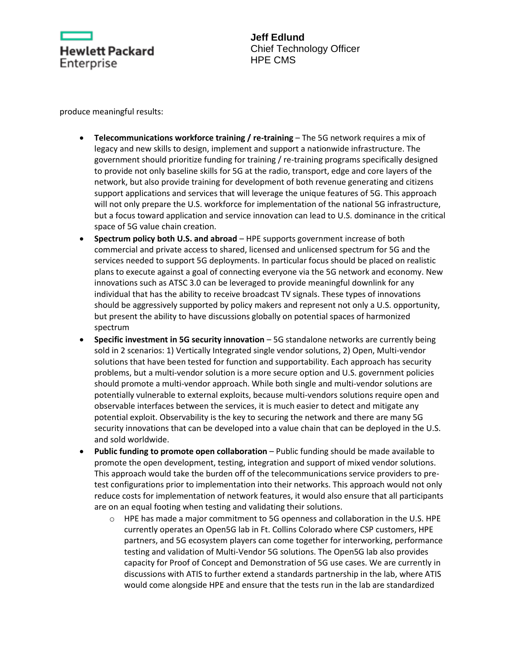

**Jeff Edlund** Chief Technology Officer HPE CMS

produce meaningful results:

- **Telecommunications workforce training / re-training** The 5G network requires a mix of legacy and new skills to design, implement and support a nationwide infrastructure. The government should prioritize funding for training / re-training programs specifically designed to provide not only baseline skills for 5G at the radio, transport, edge and core layers of the network, but also provide training for development of both revenue generating and citizens support applications and services that will leverage the unique features of 5G. This approach will not only prepare the U.S. workforce for implementation of the national 5G infrastructure, but a focus toward application and service innovation can lead to U.S. dominance in the critical space of 5G value chain creation.
- **Spectrum policy both U.S. and abroad**  HPE supports government increase of both commercial and private access to shared, licensed and unlicensed spectrum for 5G and the services needed to support 5G deployments. In particular focus should be placed on realistic plans to execute against a goal of connecting everyone via the 5G network and economy. New innovations such as ATSC 3.0 can be leveraged to provide meaningful downlink for any individual that has the ability to receive broadcast TV signals. These types of innovations should be aggressively supported by policy makers and represent not only a U.S. opportunity, but present the ability to have discussions globally on potential spaces of harmonized spectrum
- **Specific investment in 5G security innovation**  5G standalone networks are currently being sold in 2 scenarios: 1) Vertically Integrated single vendor solutions, 2) Open, Multi-vendor solutions that have been tested for function and supportability. Each approach has security problems, but a multi-vendor solution is a more secure option and U.S. government policies should promote a multi-vendor approach. While both single and multi-vendor solutions are potentially vulnerable to external exploits, because multi-vendors solutions require open and observable interfaces between the services, it is much easier to detect and mitigate any potential exploit. Observability is the key to securing the network and there are many 5G security innovations that can be developed into a value chain that can be deployed in the U.S. and sold worldwide.
- **Public funding to promote open collaboration**  Public funding should be made available to promote the open development, testing, integration and support of mixed vendor solutions. This approach would take the burden off of the telecommunications service providers to pretest configurations prior to implementation into their networks. This approach would not only reduce costs for implementation of network features, it would also ensure that all participants are on an equal footing when testing and validating their solutions.
	- o HPE has made a major commitment to 5G openness and collaboration in the U.S. HPE currently operates an Open5G lab in Ft. Collins Colorado where CSP customers, HPE partners, and 5G ecosystem players can come together for interworking, performance testing and validation of Multi-Vendor 5G solutions. The Open5G lab also provides capacity for Proof of Concept and Demonstration of 5G use cases. We are currently in discussions with ATIS to further extend a standards partnership in the lab, where ATIS would come alongside HPE and ensure that the tests run in the lab are standardized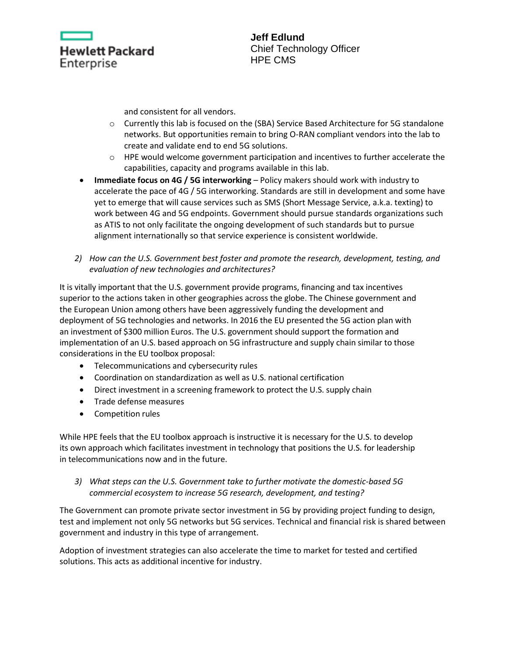

and consistent for all vendors.

- o Currently this lab is focused on the (SBA) Service Based Architecture for 5G standalone networks. But opportunities remain to bring O-RAN compliant vendors into the lab to create and validate end to end 5G solutions.
- o HPE would welcome government participation and incentives to further accelerate the capabilities, capacity and programs available in this lab.
- **Immediate focus on 4G / 5G interworking** Policy makers should work with industry to accelerate the pace of 4G / 5G interworking. Standards are still in development and some have yet to emerge that will cause services such as SMS (Short Message Service, a.k.a. texting) to work between 4G and 5G endpoints. Government should pursue standards organizations such as ATIS to not only facilitate the ongoing development of such standards but to pursue alignment internationally so that service experience is consistent worldwide.
- *2) How can the U.S. Government best foster and promote the research, development, testing, and evaluation of new technologies and architectures?*

It is vitally important that the U.S. government provide programs, financing and tax incentives superior to the actions taken in other geographies across the globe. The Chinese government and the European Union among others have been aggressively funding the development and deployment of 5G technologies and networks. In 2016 the EU presented the 5G action plan with an investment of \$300 million Euros. The U.S. government should support the formation and implementation of an U.S. based approach on 5G infrastructure and supply chain similar to those considerations in the EU toolbox proposal:

- Telecommunications and cybersecurity rules
- Coordination on standardization as well as U.S. national certification
- Direct investment in a screening framework to protect the U.S. supply chain
- Trade defense measures
- Competition rules

While HPE feels that the EU toolbox approach is instructive it is necessary for the U.S. to develop its own approach which facilitates investment in technology that positions the U.S. for leadership in telecommunications now and in the future.

*3) What steps can the U.S. Government take to further motivate the domestic-based 5G commercial ecosystem to increase 5G research, development, and testing?* 

The Government can promote private sector investment in 5G by providing project funding to design, test and implement not only 5G networks but 5G services. Technical and financial risk is shared between government and industry in this type of arrangement.

Adoption of investment strategies can also accelerate the time to market for tested and certified solutions. This acts as additional incentive for industry.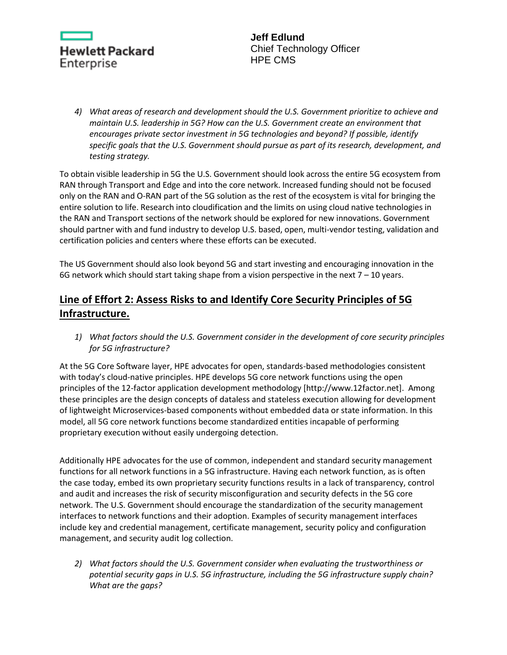

*4) What areas of research and development should the U.S. Government prioritize to achieve and maintain U.S. leadership in 5G? How can the U.S. Government create an environment that encourages private sector investment in 5G technologies and beyond? If possible, identify specific goals that the U.S. Government should pursue as part of its research, development, and testing strategy.* 

To obtain visible leadership in 5G the U.S. Government should look across the entire 5G ecosystem from RAN through Transport and Edge and into the core network. Increased funding should not be focused only on the RAN and O-RAN part of the 5G solution as the rest of the ecosystem is vital for bringing the entire solution to life. Research into cloudification and the limits on using cloud native technologies in the RAN and Transport sections of the network should be explored for new innovations. Government should partner with and fund industry to develop U.S. based, open, multi-vendor testing, validation and certification policies and centers where these efforts can be executed.

The US Government should also look beyond 5G and start investing and encouraging innovation in the 6G network which should start taking shape from a vision perspective in the next  $7 - 10$  years.

## **Line of Effort 2: Assess Risks to and Identify Core Security Principles of 5G Infrastructure.**

*1) What factors should the U.S. Government consider in the development of core security principles for 5G infrastructure?* 

At the 5G Core Software layer, HPE advocates for open, standards-based methodologies consistent with today's cloud-native principles. HPE develops 5G core network functions using the open principles of the 12-factor application development methodology [http://www.12factor.net]. Among these principles are the design concepts of dataless and stateless execution allowing for development of lightweight Microservices-based components without embedded data or state information. In this model, all 5G core network functions become standardized entities incapable of performing proprietary execution without easily undergoing detection.

Additionally HPE advocates for the use of common, independent and standard security management functions for all network functions in a 5G infrastructure. Having each network function, as is often the case today, embed its own proprietary security functions results in a lack of transparency, control and audit and increases the risk of security misconfiguration and security defects in the 5G core network. The U.S. Government should encourage the standardization of the security management interfaces to network functions and their adoption. Examples of security management interfaces include key and credential management, certificate management, security policy and configuration management, and security audit log collection.

*2) What factors should the U.S. Government consider when evaluating the trustworthiness or potential security gaps in U.S. 5G infrastructure, including the 5G infrastructure supply chain? What are the gaps?*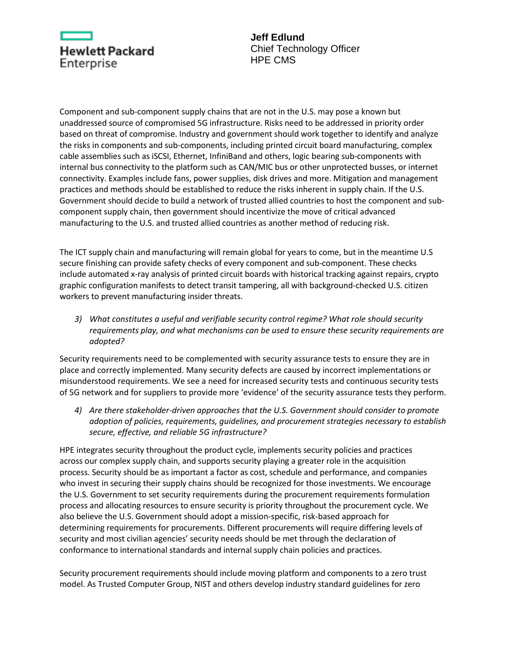

**Jeff Edlund** Chief Technology Officer HPE CMS

Component and sub-component supply chains that are not in the U.S. may pose a known but unaddressed source of compromised 5G infrastructure. Risks need to be addressed in priority order based on threat of compromise. Industry and government should work together to identify and analyze the risks in components and sub-components, including printed circuit board manufacturing, complex cable assemblies such as iSCSI, Ethernet, InfiniBand and others, logic bearing sub-components with internal bus connectivity to the platform such as CAN/MIC bus or other unprotected busses, or internet connectivity. Examples include fans, power supplies, disk drives and more. Mitigation and management practices and methods should be established to reduce the risks inherent in supply chain. If the U.S. Government should decide to build a network of trusted allied countries to host the component and subcomponent supply chain, then government should incentivize the move of critical advanced manufacturing to the U.S. and trusted allied countries as another method of reducing risk.

The ICT supply chain and manufacturing will remain global for years to come, but in the meantime U.S secure finishing can provide safety checks of every component and sub-component. These checks include automated x-ray analysis of printed circuit boards with historical tracking against repairs, crypto graphic configuration manifests to detect transit tampering, all with background-checked U.S. citizen workers to prevent manufacturing insider threats.

*3) What constitutes a useful and verifiable security control regime? What role should security requirements play, and what mechanisms can be used to ensure these security requirements are adopted?*

Security requirements need to be complemented with security assurance tests to ensure they are in place and correctly implemented. Many security defects are caused by incorrect implementations or misunderstood requirements. We see a need for increased security tests and continuous security tests of 5G network and for suppliers to provide more 'evidence' of the security assurance tests they perform.

*4) Are there stakeholder-driven approaches that the U.S. Government should consider to promote adoption of policies, requirements, guidelines, and procurement strategies necessary to establish secure, effective, and reliable 5G infrastructure?* 

HPE integrates security throughout the product cycle, implements security policies and practices across our complex supply chain, and supports security playing a greater role in the acquisition process. Security should be as important a factor as cost, schedule and performance, and companies who invest in securing their supply chains should be recognized for those investments. We encourage the U.S. Government to set security requirements during the procurement requirements formulation process and allocating resources to ensure security is priority throughout the procurement cycle. We also believe the U.S. Government should adopt a mission-specific, risk-based approach for determining requirements for procurements. Different procurements will require differing levels of security and most civilian agencies' security needs should be met through the declaration of conformance to international standards and internal supply chain policies and practices.

Security procurement requirements should include moving platform and components to a zero trust model. As Trusted Computer Group, NIST and others develop industry standard guidelines for zero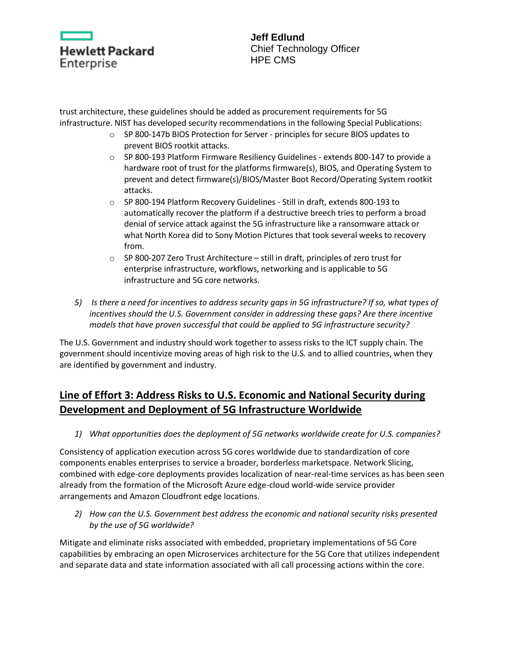| Hewlett Packard |  |  |
|-----------------|--|--|
| Enterprise      |  |  |

trust architecture, these guidelines should be added as procurement requirements for 5G infrastructure. NIST has developed security recommendations in the following Special Publications:

- o SP 800-147b BIOS Protection for Server principles for secure BIOS updates to prevent BIOS rootkit attacks.
- $\circ$  SP 800-193 Platform Firmware Resiliency Guidelines extends 800-147 to provide a hardware root of trust for the platforms firmware(s), BIOS, and Operating System to prevent and detect firmware(s)/BIOS/Master Boot Record/Operating System rootkit attacks.
- o SP 800-194 Platform Recovery Guidelines Still in draft, extends 800-193 to automatically recover the platform if a destructive breech tries to perform a broad denial of service attack against the 5G infrastructure like a ransomware attack or what North Korea did to Sony Motion Pictures that took several weeks to recovery from.
- o SP 800-207 Zero Trust Architecture still in draft, principles of zero trust for enterprise infrastructure, workflows, networking and is applicable to 5G infrastructure and 5G core networks.
- *5) Is there a need for incentives to address security gaps in 5G infrastructure? If so, what types of incentives should the U.S. Government consider in addressing these gaps? Are there incentive models that have proven successful that could be applied to 5G infrastructure security?*

The U.S. Government and industry should work together to assess risks to the ICT supply chain. The government should incentivize moving areas of high risk to the U.S. and to allied countries, when they are identified by government and industry.

## **Line of Effort 3: Address Risks to U.S. Economic and National Security during Development and Deployment of 5G Infrastructure Worldwide**

*1) What opportunities does the deployment of 5G networks worldwide create for U.S. companies?* 

Consistency of application execution across 5G cores worldwide due to standardization of core components enables enterprises to service a broader, borderless marketspace. Network Slicing, combined with edge-core deployments provides localization of near-real-time services as has been seen already from the formation of the Microsoft Azure edge-cloud world-wide service provider arrangements and Amazon Cloudfront edge locations.

*2) How can the U.S. Government best address the economic and national security risks presented by the use of 5G worldwide?*

Mitigate and eliminate risks associated with embedded, proprietary implementations of 5G Core capabilities by embracing an open Microservices architecture for the 5G Core that utilizes independent and separate data and state information associated with all call processing actions within the core.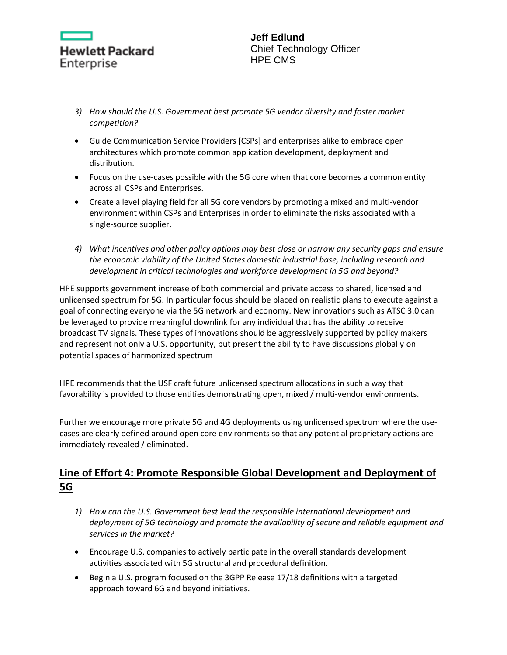

- *3) How should the U.S. Government best promote 5G vendor diversity and foster market competition?*
- Guide Communication Service Providers [CSPs] and enterprises alike to embrace open architectures which promote common application development, deployment and distribution.
- Focus on the use-cases possible with the 5G core when that core becomes a common entity across all CSPs and Enterprises.
- Create a level playing field for all 5G core vendors by promoting a mixed and multi-vendor environment within CSPs and Enterprises in order to eliminate the risks associated with a single-source supplier.
- *4) What incentives and other policy options may best close or narrow any security gaps and ensure the economic viability of the United States domestic industrial base, including research and development in critical technologies and workforce development in 5G and beyond?*

HPE supports government increase of both commercial and private access to shared, licensed and unlicensed spectrum for 5G. In particular focus should be placed on realistic plans to execute against a goal of connecting everyone via the 5G network and economy. New innovations such as ATSC 3.0 can be leveraged to provide meaningful downlink for any individual that has the ability to receive broadcast TV signals. These types of innovations should be aggressively supported by policy makers and represent not only a U.S. opportunity, but present the ability to have discussions globally on potential spaces of harmonized spectrum

HPE recommends that the USF craft future unlicensed spectrum allocations in such a way that favorability is provided to those entities demonstrating open, mixed / multi-vendor environments.

Further we encourage more private 5G and 4G deployments using unlicensed spectrum where the usecases are clearly defined around open core environments so that any potential proprietary actions are immediately revealed / eliminated.

## **Line of Effort 4: Promote Responsible Global Development and Deployment of 5G**

- *1) How can the U.S. Government best lead the responsible international development and deployment of 5G technology and promote the availability of secure and reliable equipment and services in the market?*
- Encourage U.S. companies to actively participate in the overall standards development activities associated with 5G structural and procedural definition.
- Begin a U.S. program focused on the 3GPP Release 17/18 definitions with a targeted approach toward 6G and beyond initiatives.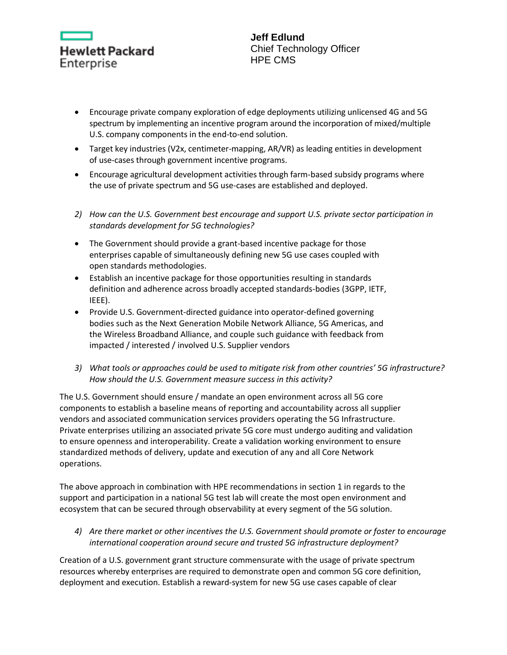

- Encourage private company exploration of edge deployments utilizing unlicensed 4G and 5G spectrum by implementing an incentive program around the incorporation of mixed/multiple U.S. company components in the end-to-end solution.
- Target key industries (V2x, centimeter-mapping, AR/VR) as leading entities in development of use-cases through government incentive programs.
- Encourage agricultural development activities through farm-based subsidy programs where the use of private spectrum and 5G use-cases are established and deployed.
- *2) How can the U.S. Government best encourage and support U.S. private sector participation in standards development for 5G technologies?*
- The Government should provide a grant-based incentive package for those enterprises capable of simultaneously defining new 5G use cases coupled with open standards methodologies.
- Establish an incentive package for those opportunities resulting in standards definition and adherence across broadly accepted standards-bodies (3GPP, IETF, IEEE).
- Provide U.S. Government-directed guidance into operator-defined governing bodies such as the Next Generation Mobile Network Alliance, 5G Americas, and the Wireless Broadband Alliance, and couple such guidance with feedback from impacted / interested / involved U.S. Supplier vendors
- *3) What tools or approaches could be used to mitigate risk from other countries' 5G infrastructure? How should the U.S. Government measure success in this activity?*

The U.S. Government should ensure / mandate an open environment across all 5G core components to establish a baseline means of reporting and accountability across all supplier vendors and associated communication services providers operating the 5G Infrastructure. Private enterprises utilizing an associated private 5G core must undergo auditing and validation to ensure openness and interoperability. Create a validation working environment to ensure standardized methods of delivery, update and execution of any and all Core Network operations.

The above approach in combination with HPE recommendations in section 1 in regards to the support and participation in a national 5G test lab will create the most open environment and ecosystem that can be secured through observability at every segment of the 5G solution.

*4) Are there market or other incentives the U.S. Government should promote or foster to encourage international cooperation around secure and trusted 5G infrastructure deployment?* 

Creation of a U.S. government grant structure commensurate with the usage of private spectrum resources whereby enterprises are required to demonstrate open and common 5G core definition, deployment and execution. Establish a reward-system for new 5G use cases capable of clear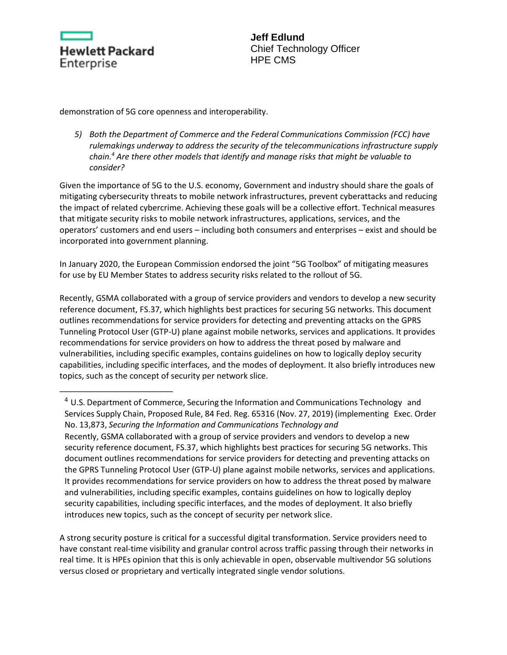

\_\_\_\_\_\_\_\_\_\_\_\_\_\_\_\_\_\_\_\_\_\_\_\_\_

**Jeff Edlund** Chief Technology Officer HPE CMS

demonstration of 5G core openness and interoperability.

*5) Both the Department of Commerce and the Federal Communications Commission (FCC) have rulemakings underway to address the security of the telecommunications infrastructure supply chain.<sup>4</sup> Are there other models that identify and manage risks that might be valuable to consider?* 

Given the importance of 5G to the U.S. economy, Government and industry should share the goals of mitigating cybersecurity threats to mobile network infrastructures, prevent cyberattacks and reducing the impact of related cybercrime. Achieving these goals will be a collective effort. Technical measures that mitigate security risks to mobile network infrastructures, applications, services, and the operators' customers and end users – including both consumers and enterprises – exist and should be incorporated into government planning.

In January 2020, the European Commission endorsed the joint "5G Toolbox" of mitigating measures for use by EU Member States to address security risks related to the rollout of 5G.

Recently, GSMA collaborated with a group of service providers and vendors to develop a new security reference document, FS.37, which highlights best practices for securing 5G networks. This document outlines recommendations for service providers for detecting and preventing attacks on the GPRS Tunneling Protocol User (GTP-U) plane against mobile networks, services and applications. It provides recommendations for service providers on how to address the threat posed by malware and vulnerabilities, including specific examples, contains guidelines on how to logically deploy security capabilities, including specific interfaces, and the modes of deployment. It also briefly introduces new topics, such as the concept of security per network slice.

<sup>4</sup> U.S. Department of Commerce, Securing the Information and Communications Technology and Services Supply Chain, Proposed Rule, 84 Fed. Reg. 65316 (Nov. 27, 2019) (implementing Exec. Order No. 13,873, *Securing the Information and Communications Technology and* Recently, GSMA collaborated with a group of service providers and vendors to develop a new security reference document, FS.37, which highlights best practices for securing 5G networks. This document outlines recommendations for service providers for detecting and preventing attacks on the GPRS Tunneling Protocol User (GTP-U) plane against mobile networks, services and applications. It provides recommendations for service providers on how to address the threat posed by malware and vulnerabilities, including specific examples, contains guidelines on how to logically deploy security capabilities, including specific interfaces, and the modes of deployment. It also briefly introduces new topics, such as the concept of security per network slice.

A strong security posture is critical for a successful digital transformation. Service providers need to have constant real-time visibility and granular control across traffic passing through their networks in real time. It is HPEs opinion that this is only achievable in open, observable multivendor 5G solutions versus closed or proprietary and vertically integrated single vendor solutions.